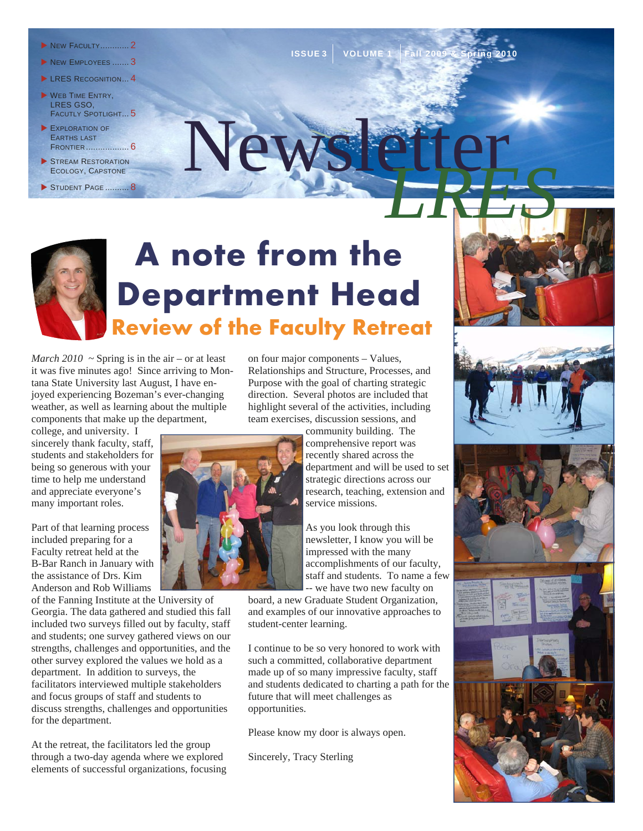- **NEW FACULTY............. 2**
- NEW EMPLOYEES ....... 3
- LRES RECOGNITION... 4
- WEB TIME ENTRY, LRES GSO, FACUTLY SPOTLIGHT... 5
- EXPLORATION OF EARTHS LAST FRONTIER .................. 6
- STREAM RESTORATION ECOLOGY, CAPSTONE
- STUDENT PAGE .......... 8

# **Review of the Faculty Retreat A note from the Department Head**

 $New$ 

*March 2010*  $\sim$  Spring is in the air – or at least it was five minutes ago! Since arriving to Montana State University last August, I have enjoyed experiencing Bozeman's ever-changing weather, as well as learning about the multiple components that make up the department,

college, and university. I sincerely thank faculty, staff, students and stakeholders for being so generous with your time to help me understand and appreciate everyone's many important roles.

Part of that learning process included preparing for a Faculty retreat held at the B-Bar Ranch in January with the assistance of Drs. Kim Anderson and Rob Williams

of the Fanning Institute at the University of Georgia. The data gathered and studied this fall included two surveys filled out by faculty, staff and students; one survey gathered views on our strengths, challenges and opportunities, and the other survey explored the values we hold as a department. In addition to surveys, the facilitators interviewed multiple stakeholders and focus groups of staff and students to discuss strengths, challenges and opportunities for the department.

At the retreat, the facilitators led the group through a two-day agenda where we explored elements of successful organizations, focusing on four major components – Values, Relationships and Structure, Processes, and Purpose with the goal of charting strategic direction. Several photos are included that highlight several of the activities, including team exercises, discussion sessions, and

**ISSUE 3 VOLUME 1** 

community building. The comprehensive report was recently shared across the department and will be used to set strategic directions across our research, teaching, extension and service missions.

As you look through this newsletter, I know you will be impressed with the many accomplishments of our faculty, staff and students. To name a few -- we have two new faculty on

board, a new Graduate Student Organization, and examples of our innovative approaches to student-center learning.

I continue to be so very honored to work with such a committed, collaborative department made up of so many impressive faculty, staff and students dedicated to charting a path for the future that will meet challenges as opportunities.

Please know my door is always open.

Sincerely, Tracy Sterling







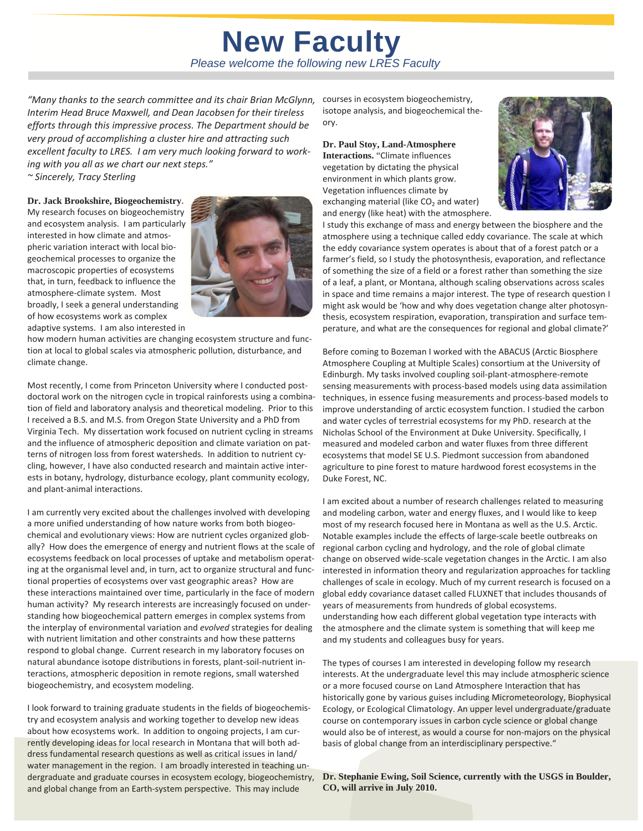### *Please welcome the following new LRES Faculty*  **New Faculty**

*"Many thanks to the search committee and its chair Brian McGlynn, Interim Head Bruce Maxwell, and Dean Jacobsen for their tireless efforts through this impressive process. The Department should be very proud of accomplishing a cluster hire and attracting such excellent faculty to LRES. I am very much looking forward to work‐ ing with you all as we chart our next steps."* 

*~ Sincerely, Tracy Sterling*

**Dr. Jack Brookshire, Biogeochemistry.** 

My research focuses on biogeochemistry and ecosystem analysis. I am particularly interested in how climate and atmospheric variation interact with local bio‐ geochemical processes to organize the macroscopic properties of ecosystems that, in turn, feedback to influence the atmosphere‐climate system. Most broadly, I seek a general understanding of how ecosystems work as complex adaptive systems. I am also interested in



how modern human activities are changing ecosystem structure and function at local to global scales via atmospheric pollution, disturbance, and climate change.

Most recently, I come from Princeton University where I conducted postdoctoral work on the nitrogen cycle in tropical rainforests using a combina‐ tion of field and laboratory analysis and theoretical modeling. Prior to this I received a B.S. and M.S. from Oregon State University and a PhD from Virginia Tech. My dissertation work focused on nutrient cycling in streams and the influence of atmospheric deposition and climate variation on pat‐ terns of nitrogen loss from forest watersheds. In addition to nutrient cy‐ cling, however, I have also conducted research and maintain active inter‐ ests in botany, hydrology, disturbance ecology, plant community ecology, and plant‐animal interactions.

I am currently very excited about the challenges involved with developing a more unified understanding of how nature works from both biogeo‐ chemical and evolutionary views: How are nutrient cycles organized glob‐ ally? How does the emergence of energy and nutrient flows at the scale of ecosystems feedback on local processes of uptake and metabolism operat‐ ing at the organismal level and, in turn, act to organize structural and func‐ tional properties of ecosystems over vast geographic areas? How are these interactions maintained over time, particularly in the face of modern human activity? My research interests are increasingly focused on under‐ standing how biogeochemical pattern emerges in complex systems from the interplay of environmental variation and *evolved* strategies for dealing with nutrient limitation and other constraints and how these patterns respond to global change. Current research in my laboratory focuses on natural abundance isotope distributions in forests, plant‐soil‐nutrient in‐ teractions, atmospheric deposition in remote regions, small watershed biogeochemistry, and ecosystem modeling.

I look forward to training graduate students in the fields of biogeochemis‐ try and ecosystem analysis and working together to develop new ideas about how ecosystems work. In addition to ongoing projects, I am cur‐ rently developing ideas for local research in Montana that will both ad‐ dress fundamental research questions as well as critical issues in land/ water management in the region. I am broadly interested in teaching undergraduate and graduate courses in ecosystem ecology, biogeochemistry, and global change from an Earth‐system perspective. This may include

courses in ecosystem biogeochemistry, isotope analysis, and biogeochemical the‐ ory.

**Dr. Paul Stoy, Land-Atmosphere Interactions.** "Climate influences vegetation by dictating the physical environment in which plants grow.

Vegetation influences climate by exchanging material (like  $CO<sub>2</sub>$  and water) and energy (like heat) with the atmosphere.



I study this exchange of mass and energy between the biosphere and the atmosphere using a technique called eddy covariance. The scale at which the eddy covariance system operates is about that of a forest patch or a farmer's field, so I study the photosynthesis, evaporation, and reflectance of something the size of a field or a forest rather than something the size of a leaf, a plant, or Montana, although scaling observations across scales in space and time remains a major interest. The type of research question I might ask would be 'how and why does vegetation change alter photosyn‐ thesis, ecosystem respiration, evaporation, transpiration and surface tem‐ perature, and what are the consequences for regional and global climate?'

Before coming to Bozeman I worked with the ABACUS (Arctic Biosphere Atmosphere Coupling at Multiple Scales) consortium at the University of Edinburgh. My tasks involved coupling soil‐plant‐atmosphere‐remote sensing measurements with process‐based models using data assimilation techniques, in essence fusing measurements and process‐based models to improve understanding of arctic ecosystem function. I studied the carbon and water cycles of terrestrial ecosystems for my PhD. research at the Nicholas School of the Environment at Duke University. Specifically, I measured and modeled carbon and water fluxes from three different ecosystems that model SE U.S. Piedmont succession from abandoned agriculture to pine forest to mature hardwood forest ecosystems in the Duke Forest, NC.

I am excited about a number of research challenges related to measuring and modeling carbon, water and energy fluxes, and I would like to keep most of my research focused here in Montana as well as the U.S. Arctic. Notable examples include the effects of large‐scale beetle outbreaks on regional carbon cycling and hydrology, and the role of global climate change on observed wide‐scale vegetation changes in the Arctic. I am also interested in information theory and regularization approaches for tackling challenges of scale in ecology. Much of my current research is focused on a global eddy covariance dataset called FLUXNET that includes thousands of years of measurements from hundreds of global ecosystems. understanding how each different global vegetation type interacts with the atmosphere and the climate system is something that will keep me and my students and colleagues busy for years.

The types of courses I am interested in developing follow my research interests. At the undergraduate level this may include atmospheric science or a more focused course on Land Atmosphere Interaction that has historically gone by various guises including Micrometeorology, Biophysical Ecology, or Ecological Climatology. An upper level undergraduate/graduate course on contemporary issues in carbon cycle science or global change would also be of interest, as would a course for non‐majors on the physical basis of global change from an interdisciplinary perspective."

**Dr. Stephanie Ewing, Soil Science, currently with the USGS in Boulder, CO, will arrive in July 2010.**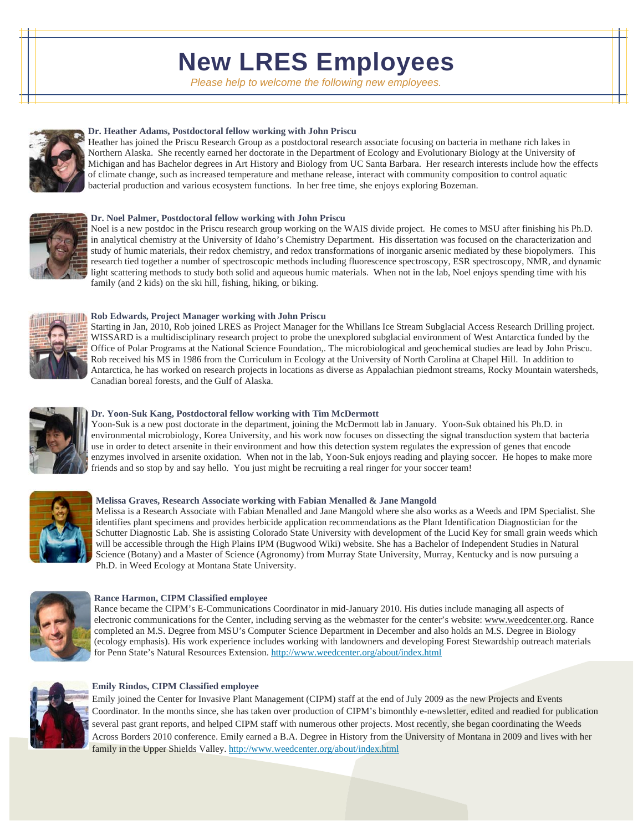## **New LRES Employees**

*Please help to welcome the following new employees.* 



### **Dr. Heather Adams, Postdoctoral fellow working with John Priscu**

Heather has joined the Priscu Research Group as a postdoctoral research associate focusing on bacteria in methane rich lakes in Northern Alaska. She recently earned her doctorate in the Department of Ecology and Evolutionary Biology at the University of Michigan and has Bachelor degrees in Art History and Biology from UC Santa Barbara. Her research interests include how the effects of climate change, such as increased temperature and methane release, interact with community composition to control aquatic bacterial production and various ecosystem functions. In her free time, she enjoys exploring Bozeman.



#### **Dr. Noel Palmer, Postdoctoral fellow working with John Priscu**

Noel is a new postdoc in the Priscu research group working on the WAIS divide project. He comes to MSU after finishing his Ph.D. in analytical chemistry at the University of Idaho's Chemistry Department. His dissertation was focused on the characterization and study of humic materials, their redox chemistry, and redox transformations of inorganic arsenic mediated by these biopolymers. This research tied together a number of spectroscopic methods including fluorescence spectroscopy, ESR spectroscopy, NMR, and dynamic light scattering methods to study both solid and aqueous humic materials. When not in the lab, Noel enjoys spending time with his family (and 2 kids) on the ski hill, fishing, hiking, or biking.



#### **Rob Edwards, Project Manager working with John Priscu**

Starting in Jan, 2010, Rob joined LRES as Project Manager for the Whillans Ice Stream Subglacial Access Research Drilling project. WISSARD is a multidisciplinary research project to probe the unexplored subglacial environment of West Antarctica funded by the Office of Polar Programs at the National Science Foundation,. The microbiological and geochemical studies are lead by John Priscu. Rob received his MS in 1986 from the Curriculum in Ecology at the University of North Carolina at Chapel Hill. In addition to Antarctica, he has worked on research projects in locations as diverse as Appalachian piedmont streams, Rocky Mountain watersheds, Canadian boreal forests, and the Gulf of Alaska.



#### **Dr. Yoon-Suk Kang, Postdoctoral fellow working with Tim McDermott**

Yoon-Suk is a new post doctorate in the department, joining the McDermott lab in January. Yoon-Suk obtained his Ph.D. in environmental microbiology, Korea University, and his work now focuses on dissecting the signal transduction system that bacteria use in order to detect arsenite in their environment and how this detection system regulates the expression of genes that encode enzymes involved in arsenite oxidation. When not in the lab, Yoon-Suk enjoys reading and playing soccer. He hopes to make more friends and so stop by and say hello. You just might be recruiting a real ringer for your soccer team!



#### **Melissa Graves, Research Associate working with Fabian Menalled & Jane Mangold**

Melissa is a Research Associate with Fabian Menalled and Jane Mangold where she also works as a Weeds and IPM Specialist. She identifies plant specimens and provides herbicide application recommendations as the Plant Identification Diagnostician for the Schutter Diagnostic Lab. She is assisting Colorado State University with development of the Lucid Key for small grain weeds which will be accessible through the High Plains IPM (Bugwood Wiki) website. She has a Bachelor of Independent Studies in Natural Science (Botany) and a Master of Science (Agronomy) from Murray State University, Murray, Kentucky and is now pursuing a Ph.D. in Weed Ecology at Montana State University.



#### **Rance Harmon, CIPM Classified employee**

Rance became the CIPM's E-Communications Coordinator in mid-January 2010. His duties include managing all aspects of electronic communications for the Center, including serving as the webmaster for the center's website: www.weedcenter.org. Rance completed an M.S. Degree from MSU's Computer Science Department in December and also holds an M.S. Degree in Biology (ecology emphasis). His work experience includes working with landowners and developing Forest Stewardship outreach materials for Penn State's Natural Resources Extension. http://www.weedcenter.org/about/index.html



### **Emily Rindos, CIPM Classified employee**

Emily joined the Center for Invasive Plant Management (CIPM) staff at the end of July 2009 as the new Projects and Events Coordinator. In the months since, she has taken over production of CIPM's bimonthly e-newsletter, edited and readied for publication several past grant reports, and helped CIPM staff with numerous other projects. Most recently, she began coordinating the Weeds Across Borders 2010 conference. Emily earned a B.A. Degree in History from the University of Montana in 2009 and lives with her family in the Upper Shields Valley. http://www.weedcenter.org/about/index.html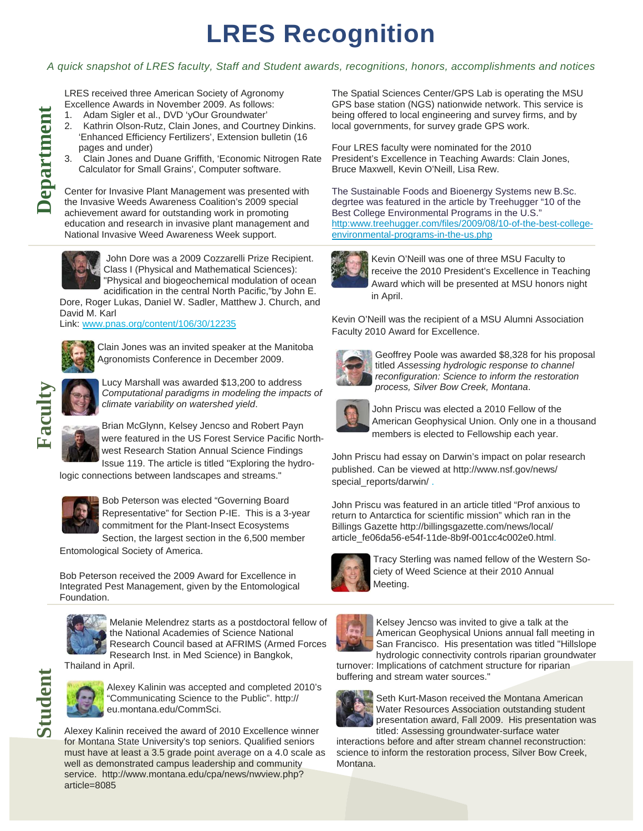# **LRES Recognition**

### *A quick snapshot of LRES faculty, Staff and Student awards, recognitions, honors, accomplishments and notices*

LRES received three American Society of Agronomy Excellence Awards in November 2009. As follows:

- 1. Adam Sigler et al., DVD 'yOur Groundwater'
- 2. Kathrin Olson-Rutz, Clain Jones, and Courtney Dinkins. 'Enhanced Efficiency Fertilizers', Extension bulletin (16 pages and under)
- 3. Clain Jones and Duane Griffith, 'Economic Nitrogen Rate Calculator for Small Grains', Computer software.

Center for Invasive Plant Management was presented with the Invasive Weeds Awareness Coalition's 2009 special achievement award for outstanding work in promoting education and research in invasive plant management and National Invasive Weed Awareness Week support.



 John Dore was a 2009 Cozzarelli Prize Recipient. Class I (Physical and Mathematical Sciences): "Physical and biogeochemical modulation of ocean acidification in the central North Pacific,"by John E.

Dore, Roger Lukas, Daniel W. Sadler, Matthew J. Church, and David M. Karl

Link: www.pnas.org/content/106/30/12235



Clain Jones was an invited speaker at the Manitoba Agronomists Conference in December 2009.



Lucy Marshall was awarded \$13,200 to address *Computational paradigms in modeling the impacts of climate variability on watershed yield*.



Brian McGlynn, Kelsey Jencso and Robert Payn were featured in the US Forest Service Pacific Northwest Research Station Annual Science Findings Issue 119. The article is titled "Exploring the hydro-

logic connections between landscapes and streams."



Bob Peterson was elected "Governing Board Representative" for Section P-IE. This is a 3-year commitment for the Plant-Insect Ecosystems Section, the largest section in the 6,500 member

Entomological Society of America.

Bob Peterson received the 2009 Award for Excellence in Integrated Pest Management, given by the Entomological Foundation.



Melanie Melendrez starts as a postdoctoral fellow of the National Academies of Science National Research Council based at AFRIMS (Armed Forces Research Inst. in Med Science) in Bangkok,

Thailand in April.



Alexey Kalinin was accepted and completed 2010's "Communicating Science to the Public". http:// eu.montana.edu/CommSci.

Alexey Kalinin received the award of 2010 Excellence winner for Montana State University's top seniors. Qualified seniors must have at least a 3.5 grade point average on a 4.0 scale as well as demonstrated campus leadership and community service. http://www.montana.edu/cpa/news/nwview.php? article=8085

The Spatial Sciences Center/GPS Lab is operating the MSU GPS base station (NGS) nationwide network. This service is being offered to local engineering and survey firms, and by local governments, for survey grade GPS work.

Four LRES faculty were nominated for the 2010 President's Excellence in Teaching Awards: Clain Jones, Bruce Maxwell, Kevin O'Neill, Lisa Rew.

The Sustainable Foods and Bioenergy Systems new B.Sc. degrtee was featured in the article by Treehugger "10 of the Best College Environmental Programs in the U.S." http:www.treehugger.com/files/2009/08/10-of-the-best-collegeenvironmental-programs-in-the-us.php



Kevin O'Neill was one of three MSU Faculty to receive the 2010 President's Excellence in Teaching Award which will be presented at MSU honors night in April.

Kevin O'Neill was the recipient of a MSU Alumni Association Faculty 2010 Award for Excellence.



Geoffrey Poole was awarded \$8,328 for his proposal titled *Assessing hydrologic response to channel reconfiguration: Science to inform the restoration process, Silver Bow Creek, Montana*.



John Priscu was elected a 2010 Fellow of the American Geophysical Union. Only one in a thousand members is elected to Fellowship each year.

John Priscu had essay on Darwin's impact on polar research published. Can be viewed at http://www.nsf.gov/news/ special\_reports/darwin/.

John Priscu was featured in an article titled "Prof anxious to return to Antarctica for scientific mission" which ran in the Billings Gazette http://billingsgazette.com/news/local/ article\_fe06da56-e54f-11de-8b9f-001cc4c002e0.html.



Tracy Sterling was named fellow of the Western Society of Weed Science at their 2010 Annual Meeting.



Kelsey Jencso was invited to give a talk at the American Geophysical Unions annual fall meeting in San Francisco. His presentation was titled "Hillslope hydrologic connectivity controls riparian groundwater

turnover: Implications of catchment structure for riparian buffering and stream water sources."



Seth Kurt-Mason received the Montana American Water Resources Association outstanding student presentation award, Fall 2009. His presentation was titled: Assessing groundwater-surface water

interactions before and after stream channel reconstruction: science to inform the restoration process, Silver Bow Creek, Montana.

**Faculty Department**  Department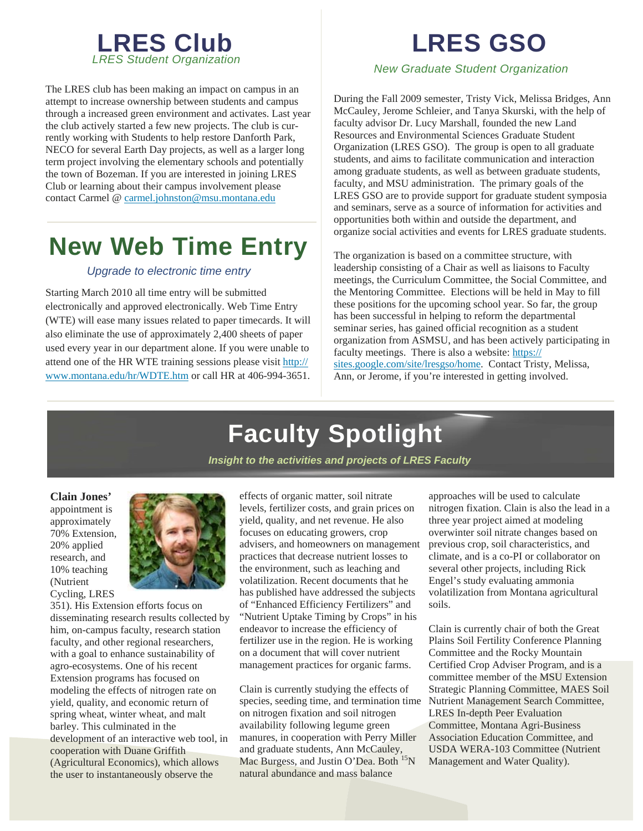

The LRES club has been making an impact on campus in an attempt to increase ownership between students and campus through a increased green environment and activates. Last year the club actively started a few new projects. The club is currently working with Students to help restore Danforth Park, NECO for several Earth Day projects, as well as a larger long term project involving the elementary schools and potentially the town of Bozeman. If you are interested in joining LRES Club or learning about their campus involvement please contact Carmel @ carmel.johnston@msu.montana.edu

## **New Web Time Entry**

### *Upgrade to electronic time entry*

Starting March 2010 all time entry will be submitted electronically and approved electronically. Web Time Entry (WTE) will ease many issues related to paper timecards. It will also eliminate the use of approximately 2,400 sheets of paper used every year in our department alone. If you were unable to attend one of the HR WTE training sessions please visit http:// www.montana.edu/hr/WDTE.htm or call HR at 406-994-3651.

# **LRES GSO**

*New Graduate Student Organization* 

During the Fall 2009 semester, Tristy Vick, Melissa Bridges, Ann McCauley, Jerome Schleier, and Tanya Skurski, with the help of faculty advisor Dr. Lucy Marshall, founded the new Land Resources and Environmental Sciences Graduate Student Organization (LRES GSO). The group is open to all graduate students, and aims to facilitate communication and interaction among graduate students, as well as between graduate students, faculty, and MSU administration. The primary goals of the LRES GSO are to provide support for graduate student symposia and seminars, serve as a source of information for activities and opportunities both within and outside the department, and organize social activities and events for LRES graduate students.

The organization is based on a committee structure, with leadership consisting of a Chair as well as liaisons to Faculty meetings, the Curriculum Committee, the Social Committee, and the Mentoring Committee. Elections will be held in May to fill these positions for the upcoming school year. So far, the group has been successful in helping to reform the departmental seminar series, has gained official recognition as a student organization from ASMSU, and has been actively participating in faculty meetings. There is also a website: https:// sites.google.com/site/lresgso/home. Contact Tristy, Melissa, Ann, or Jerome, if you're interested in getting involved.

# **Faculty Spotlight**

*Insight to the activities and projects of LRES Faculty* 

**Clain Jones'** 

appointment is approximately 70% Extension, 20% applied research, and 10% teaching (Nutrient Cycling, LRES



351). His Extension efforts focus on disseminating research results collected by him, on-campus faculty, research station faculty, and other regional researchers, with a goal to enhance sustainability of agro-ecosystems. One of his recent Extension programs has focused on modeling the effects of nitrogen rate on yield, quality, and economic return of spring wheat, winter wheat, and malt barley. This culminated in the development of an interactive web tool, in cooperation with Duane Griffith (Agricultural Economics), which allows the user to instantaneously observe the

effects of organic matter, soil nitrate levels, fertilizer costs, and grain prices on yield, quality, and net revenue. He also focuses on educating growers, crop advisers, and homeowners on management practices that decrease nutrient losses to the environment, such as leaching and volatilization. Recent documents that he has published have addressed the subjects of "Enhanced Efficiency Fertilizers" and "Nutrient Uptake Timing by Crops" in his endeavor to increase the efficiency of fertilizer use in the region. He is working on a document that will cover nutrient management practices for organic farms.

Clain is currently studying the effects of species, seeding time, and termination time on nitrogen fixation and soil nitrogen availability following legume green manures, in cooperation with Perry Miller and graduate students, Ann McCauley, Mac Burgess, and Justin O'Dea. Both <sup>15</sup>N natural abundance and mass balance

approaches will be used to calculate nitrogen fixation. Clain is also the lead in a three year project aimed at modeling overwinter soil nitrate changes based on previous crop, soil characteristics, and climate, and is a co-PI or collaborator on several other projects, including Rick Engel's study evaluating ammonia volatilization from Montana agricultural soils.

Clain is currently chair of both the Great Plains Soil Fertility Conference Planning Committee and the Rocky Mountain Certified Crop Adviser Program, and is a committee member of the MSU Extension Strategic Planning Committee, MAES Soil Nutrient Management Search Committee, LRES In-depth Peer Evaluation Committee, Montana Agri-Business Association Education Committee, and USDA WERA-103 Committee (Nutrient Management and Water Quality).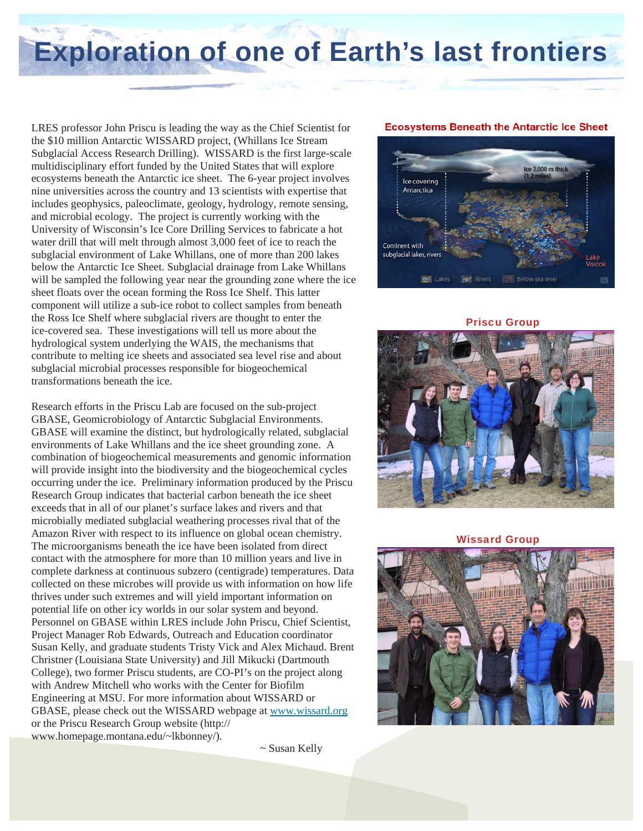# **Exploration of one of Earth's last frontiers**

LRES professor John Priscu is leading the way as the Chief Scientist for the \$10 million Antarctic WISSARD project, (Whillans Ice Stream Subglacial Access Research Drilling). WISSARD is the first large-scale multidisciplinary effort funded by the United States that will explore ecosystems beneath the Antarctic ice sheet. The 6-year project involves nine universities across the country and 13 scientists with expertise that includes geophysics, paleoclimate, geology, hydrology, remote sensing, and microbial ecology. The project is currently working with the University of Wisconsin's Ice Core Drilling Services to fabricate a hot water drill that will melt through almost 3,000 feet of ice to reach the subglacial environment of Lake Whillans, one of more than 200 lakes below the Antarctic Ice Sheet. Subglacial drainage from Lake Whillans will be sampled the following year near the grounding zone where the ice sheet floats over the ocean forming the Ross Ice Shelf. This latter component will utilize a sub-ice robot to collect samples from beneath the Ross Ice Shelf where subglacial rivers are thought to enter the ice-covered sea. These investigations will tell us more about the hydrological system underlying the WAIS, the mechanisms that contribute to melting ice sheets and associated sea level rise and about subglacial microbial processes responsible for biogeochemical transformations beneath the ice.

Research efforts in the Priscu Lab are focused on the sub-project GBASE, Geomicrobiology of Antarctic Subglacial Environments. GBASE will examine the distinct, but hydrologically related, subglacial environments of Lake Whillans and the ice sheet grounding zone. A combination of biogeochemical measurements and genomic information will provide insight into the biodiversity and the biogeochemical cycles occurring under the ice. Preliminary information produced by the Priscu Research Group indicates that bacterial carbon beneath the ice sheet exceeds that in all of our planet's surface lakes and rivers and that microbially mediated subglacial weathering processes rival that of the Amazon River with respect to its influence on global ocean chemistry. The microorganisms beneath the ice have been isolated from direct contact with the atmosphere for more than 10 million years and live in complete darkness at continuous subzero (centigrade) temperatures. Data collected on these microbes will provide us with information on how life thrives under such extremes and will yield important information on potential life on other icy worlds in our solar system and beyond. Personnel on GBASE within LRES include John Priscu, Chief Scientist, Project Manager Rob Edwards, Outreach and Education coordinator Susan Kelly, and graduate students Tristy Vick and Alex Michaud. Brent Christner (Louisiana State University) and Jill Mikucki (Dartmouth College), two former Priscu students, are CO-PI's on the project along with Andrew Mitchell who works with the Center for Biofilm Engineering at MSU. For more information about WISSARD or GBASE, please check out the WISSARD webpage at www.wissard.org or the Priscu Research Group website (http:// www.homepage.montana.edu/~lkbonney/).

~ Susan Kelly

### **Ecosystems Beneath the Antarctic Ice Sheet**



Priscu Group



#### Wissard Group

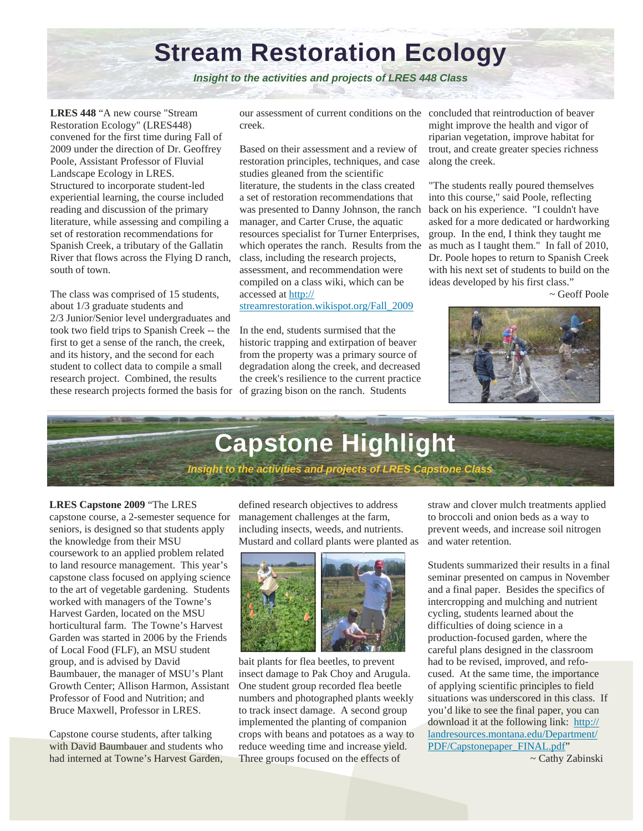### **Stream Restoration Ecology**

*Insight to the activities and projects of LRES 448 Class* 

**LRES 448** "A new course "Stream Restoration Ecology" (LRES448) convened for the first time during Fall of 2009 under the direction of Dr. Geoffrey Poole, Assistant Professor of Fluvial Landscape Ecology in LRES. Structured to incorporate student-led experiential learning, the course included reading and discussion of the primary literature, while assessing and compiling a set of restoration recommendations for Spanish Creek, a tributary of the Gallatin River that flows across the Flying D ranch, south of town.

The class was comprised of 15 students, about 1/3 graduate students and 2/3 Junior/Senior level undergraduates and took two field trips to Spanish Creek -- the first to get a sense of the ranch, the creek, and its history, and the second for each student to collect data to compile a small research project. Combined, the results these research projects formed the basis for of grazing bison on the ranch. Students

our assessment of current conditions on the concluded that reintroduction of beaver creek.

Based on their assessment and a review of restoration principles, techniques, and case studies gleaned from the scientific literature, the students in the class created a set of restoration recommendations that was presented to Danny Johnson, the ranch manager, and Carter Cruse, the aquatic resources specialist for Turner Enterprises, which operates the ranch. Results from the class, including the research projects, assessment, and recommendation were compiled on a class wiki, which can be accessed at http://

streamrestoration.wikispot.org/Fall\_2009

In the end, students surmised that the historic trapping and extirpation of beaver from the property was a primary source of degradation along the creek, and decreased the creek's resilience to the current practice might improve the health and vigor of riparian vegetation, improve habitat for trout, and create greater species richness along the creek.

"The students really poured themselves into this course," said Poole, reflecting back on his experience. "I couldn't have asked for a more dedicated or hardworking group. In the end, I think they taught me as much as I taught them." In fall of 2010, Dr. Poole hopes to return to Spanish Creek with his next set of students to build on the ideas developed by his first class."

~ Geoff Poole





### **LRES Capstone 2009** "The LRES

capstone course, a 2-semester sequence for seniors, is designed so that students apply the knowledge from their MSU coursework to an applied problem related to land resource management. This year's capstone class focused on applying science to the art of vegetable gardening. Students worked with managers of the Towne's Harvest Garden, located on the MSU horticultural farm. The Towne's Harvest Garden was started in 2006 by the Friends of Local Food (FLF), an MSU student group, and is advised by David Baumbauer, the manager of MSU's Plant Growth Center; Allison Harmon, Assistant Professor of Food and Nutrition; and Bruce Maxwell, Professor in LRES.

Capstone course students, after talking with David Baumbauer and students who had interned at Towne's Harvest Garden, defined research objectives to address management challenges at the farm, including insects, weeds, and nutrients. Mustard and collard plants were planted as



bait plants for flea beetles, to prevent insect damage to Pak Choy and Arugula. One student group recorded flea beetle numbers and photographed plants weekly to track insect damage. A second group implemented the planting of companion crops with beans and potatoes as a way to reduce weeding time and increase yield. Three groups focused on the effects of

straw and clover mulch treatments applied to broccoli and onion beds as a way to prevent weeds, and increase soil nitrogen and water retention.

Students summarized their results in a final seminar presented on campus in November and a final paper. Besides the specifics of intercropping and mulching and nutrient cycling, students learned about the difficulties of doing science in a production-focused garden, where the careful plans designed in the classroom had to be revised, improved, and refocused. At the same time, the importance of applying scientific principles to field situations was underscored in this class. If you'd like to see the final paper, you can download it at the following link: http:// landresources.montana.edu/Department/ PDF/Capstonepaper\_FINAL.pdf"

~ Cathy Zabinski